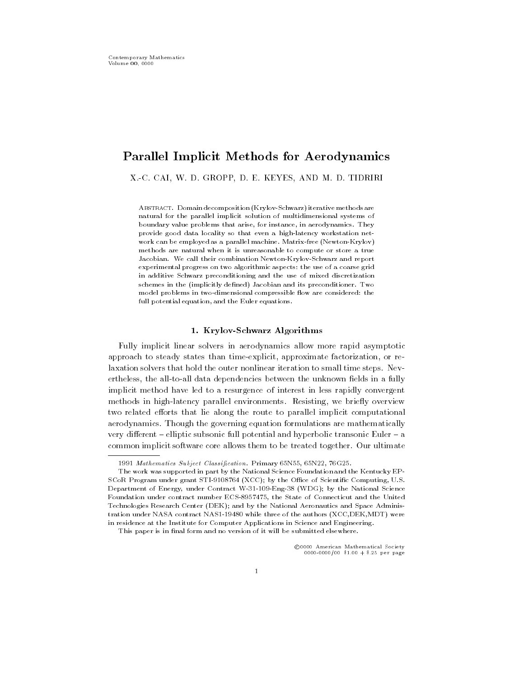# Parallel Implicit Methods for Aerodynamics

XC CAI- W D GROPP- D E KEYES- AND M D TIDRIRI

Abstract Domain decomposition Krylov-Schwarz iterative methods are natural for the parallel implicit solution of multidimensional systems of boundary value problems that arise, for instance, in aerodynamics. They provide good data locality so that even a high-latency workstation network can be employed as a parallel machine Matrix-Andrew Matrix-Andrew Matrixmethods are natural when it is unreasonable to compute or store a true Jacobian We call their combination Newton-Krylov-Schwarz and report experimental progress on two algorithmic aspects: the use of a coarse grid in additive Schwarz preconditioning and the use of mixed discretization schemes in the (implicitly defined) Jacobian and its preconditioner. Two model problems in two-dimensional compressible ow are considered the full potential equation, and the Euler equations.

## krylov-state and state and state and state and state and state and state and state and state and state and state

Fully implicit linear solvers in aerodynamics allow more rapid asymptotic approximate than the state states than times the protection-time factorization-times are the states of the sta laxation solvers that hold the outer nonlinear iteration to small time steps. Nevertheless- the alltoall data dependencies between the unknown elds in a fully implicit method have led to a resurgence of interest in less rapidly convergent methods in highlatency parallel environments Resisting- we briey overview two related efforts that lie along the route to parallel implicit computational aerodynamics Though the governing equation formulations are mathematically very different  $-$  elliptic subsonic full potential and hyperbolic transonic Euler  $-$  a common implicit software core allows them to be treated together. Our ultimate

 $N$  . The matrix  $N$  is the state  $N$  -contraction  $N$  is the state  $N$  -contraction  $N$  is the state  $N$ 

The work was supported in part by the National Science Foundation and the Kentucky EPstill by the Ocean Still Still and Still and Still and Still and Still and Still and Still and Still and Still Department of Energy under Contract W-- -Eng- WDG by the National Science . The State of Connecticut and the State of Connecticut and the United States of Connecticut and the United St Technologies Research Center (DEK); and by the National Aeronautics and Space Administration under three contract three of the authors XCCDEX authors XCCDEX (the authors XCLD) were also in residence at the Institute for Computer Applications in Science and Engineering

This paper is in final form and no version of it will be submitted elsewhere.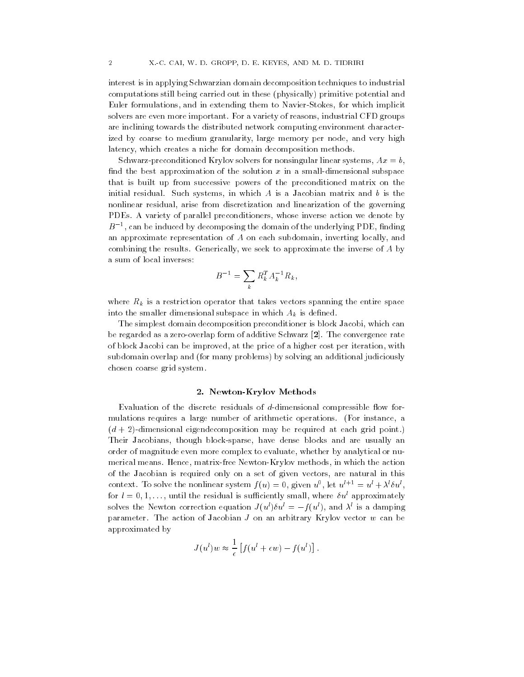interest is in applying Schwarzian domain decomposition techniques to industrial computations still being carried out in these (physically) primitive potential and euric formulations- and in extending them to form the stokes- them in extending the stockers of the stockers o solvers are the more important For a variety of reasons-formation of reasons-formation  $\alpha$ are inclining towards the distributed network computing environment character ized by coarse to medium granularity- large memory per node- and very high latency- which creates a niche for domain decomposition methods

 $\sim$  . Secondition solvers for  $\sim$  , and the system system systems for  $\sim$  , and  $\sim$  . And the system system system systems for  $\sim$ find the best approximation of the solution  $x$  in a small-dimensional subspace that is built up from successive powers of the preconditioned matrix on the initial residual such systems, in which is a statement matrix and b is the state  $\sim$ nonlinear residual- arise from discretization and linearization of the governing PDEs A variety of parallel preconditioners- whose inverse action we denote by  $B$   $^{-}$ , can be induced by decomposing the domain of the underlying PDE, finding an approximate representation of A on each subdomain- inverting locally- and combining the results Generically-compared the inverse of A by the inverse of  $\mathcal{A}_j$ a sum of local inverses

$$
B^{-1} = \sum_{k} R_{k}^{T} A_{k}^{-1} R_{k},
$$

where  $R_k$  is a restriction operator that takes vectors spanning the entire space into the smaller dimensional subspace in which  $A_k$  is defined.

the simplest domain decomposition preconditioner is block Jacobi-Jacobi-Jacobi-Jacobi-Jacobi-Jacobi-Jacobi-Jacobibe regarded as a zero-overlap form of additive Schwarz  $[2]$ . The convergence rate of block Jacobi can be improveded-by improved-by the price of a higher cost per iteration-by interactionsubdomain overlap and (for many problems) by solving an additional judiciously chosen coarse grid system

## newton-Methods and Methods and Methods and Methods and Methods and Methods and Methods and Methods and Methods

Evaluation of the discrete residuals of  $d$ -dimensional compressible flow formulations requires a large number of arithmetic operations For instance- a  $(d + 2)$ -dimensional eigendecomposition may be required at each grid point.) Their Jacobians- though blocksparse- have dense blocks and are usually an order of mangered even more complex to evaluate- whether  $\pi_{\beta}$  analytical or nucleo merical means Hence- In which the action and the action of the action of the action of the action of the Jacobian is required only on a set of given vectors-  $\mathbf{M}$ context. To solve the nonlinear system  $f(u) = 0$ , given  $u^-,$  let  $u^+ = u^+ + \lambda^0 u^-,$ for  $\iota = 0, 1, \ldots$  , until the residual is sufficiently small, where  $\delta u$  approximately solves the Newton correction equation  $J(u) \circ u = -f(u)$ , and  $\lambda$  is a damping parameter. The action of Jacobian  $J$  on an arbitrary Krylov vector  $w$  can be approximated by

$$
J(u^l)w \approx \frac{1}{\epsilon} \left[ f(u^l + \epsilon w) - f(u^l) \right].
$$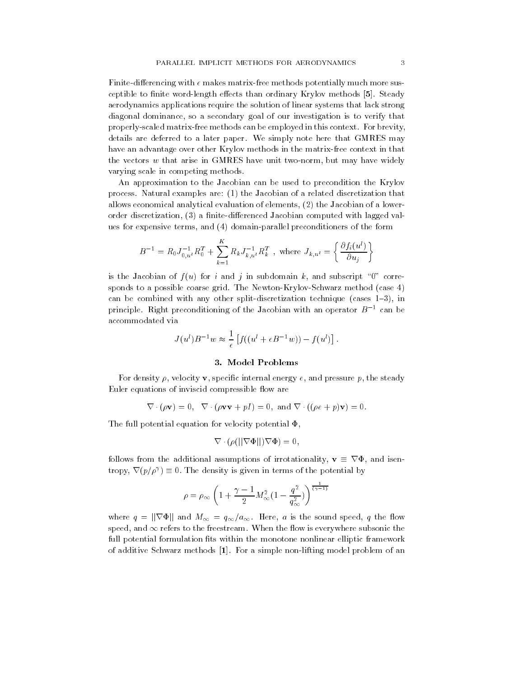Finite-differencing with  $\epsilon$  makes matrix-free methods potentially much more susceptible to finite word-length effects than ordinary Krylov methods [5]. Steady aerodynamics applications require the solution of linear systems that lack strong an groot diagonal of our investigation is to verify investigation in the verify that is to verify that is to v properly-scaled matrix-free methods can be employed in this context. For brevity, details are deferred to a later paper. We simply note here that GMRES may have an advantage over other Krylov methods in the matrix-free context in that the vectors w that arise in GMRES have unit two collections with  $\alpha$  and  $\beta$ varying scale in competing methods

An approximation to the Jacobian can be used to precondition the Krylov process relative are the Jacobian of a relative discretization that the contract  $\alpha$ allows experiments and  $\mathbf{I}$ order discretization-lagged with lagged values of the computed with lagged values with lagged values of the la and the experiment terms-parallel preconditioners preconditioners of the form the form of the form of the form

$$
B^{-1} = R_0 J_{0,u^l}^{-1} R_0^T + \sum_{k=1}^K R_k J_{k,u^l}^{-1} R_k^T , \text{ where } J_{k,u^l} = \left\{ \frac{\partial f_i(u^l)}{\partial u_j} \right\}
$$

is the Jacobian of f u for instance  $\mathcal{U}$  in subdomain k-hand j in subdomain k-hand  $\mathcal{U}$ sponds to a possible coarse grid. The Newton-Krylov-Schwarz method (case  $4$ ) can be combined with any other splitdiscretization technique cases - in principle. Right preconditioning of the Jacobian with an operator  $B^{-1}$  can be accommodated via

$$
J(ul)B-1w \approx \frac{1}{\epsilon} [f((ul + \epsilon B-1w)) - f(ul)].
$$

# 3. Model Problems

For density - velocity v- specic internal energy e- and pressure p- the steady Euler equations of inviscid compressible flow are

$$
\nabla \cdot (\rho \mathbf{v}) = 0, \quad \nabla \cdot (\rho \mathbf{v} \mathbf{v} + pI) = 0, \text{ and } \nabla \cdot ((\rho e + p) \mathbf{v}) = 0.
$$

The full potential equation for velocity potential  $\Phi$ .

$$
\nabla \cdot (\rho(||\nabla \Phi||)\nabla \Phi) = 0,
$$

follows from the additional assumptions of irrotational  $\mathcal{I}^{\prime}$  ,  $\mathcal{I}^{\prime}$ tropy,  $V(p/p') = 0$ . The density is given in terms of the potential by

$$
\rho = \rho_{\infty} \left( 1 + \frac{\gamma - 1}{2} M_{\infty}^{2} \left( 1 - \frac{q^{2}}{q_{\infty}^{2}} \right) \right)^{\frac{1}{(\gamma - 1)}}
$$

where  $q$  is the sound speed,  $q_{\rm{AA}}$  and  $q_{\rm{AA}}$  is the sound speed-own speed-off in the sound speed-off in refers to the free to the free the free the free the free the substitution is every when the substitution of t full potential formulation fits within the monotone nonlinear elliptic framework of additive Schwarz methods [1]. For a simple non-lifting model problem of an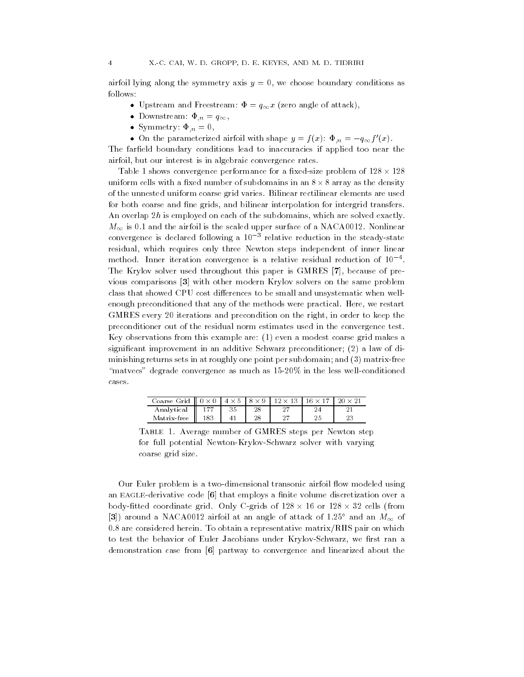and symmetry and  $\alpha$  is symmetry and  $\alpha$  , we can see a moment, conditions as follows

- Upstream and Freestream qx zero angle of attack-
- Downstream n q-
- Symmetry n -
- $\bullet$  On the parameterized airfoil with shape  $y = f(x)$ .  $\Psi_n = -q_{\infty} f(x)$ .

The farfield boundary conditions lead to inaccuracies if applied too near the airfoil an air interest is in algebraic convergence rates.

Table 1 shows convergence performance for a fixed-size problem of  $128 \times 128$ uniform cells with a fixed number of subdomains in an  $8 \times 8$  array as the density of the unnested uniform coarse grid varies. Bilinear rectilinear elements are used for both coarse and ne grids- and bilinear interpolation for intergrid transfers an overlap music only the subdomains-subdomains-subdomains-subdomains-subdomains- $M_{\infty}$  is 0.1 and the airfoil is the scaled upper surface of a NACA0012. Nonlinear convergence is declared following a TO = relative reduction in the steady-state residual- which requires only three Newton steps independent of inner linear method Inner iteration convergence is a relative residual reduction of The Krylov solver used throughout this paper is GMRES - because of pre vious comparisons [3] with other modern Krylov solvers on the same problem class that showed CPU cost differences to be small and unsystematic when wellenough preconditioned that any of the methods were practical Here- we restart GMRES every iterations and precondition on the right- in order to keep the preconditioner out of the residual norm estimates used in the convergence test Key observations from this example are even a modest coarse grid makes a significant improvement in an additive Schwarz preconditioner; (2) a law of diminishing returns sets in at roughly one point per subdomain; and  $(3)$  matrix-free "matvecs" degrade convergence as much as  $15{\text -}20\%$  in the less well-conditioned cases

| Coarse Grid $\parallel$ 0 $\times$ | $\overline{0}$ | $4 \times 5$ | $8 \times$ | $12 \times 13$ 1 |    |     |
|------------------------------------|----------------|--------------|------------|------------------|----|-----|
| Analytical                         |                | 35           |            | o H              |    |     |
| Matrix-free                        | 183            |              | 28         | o H              | ∠⊍ | n c |

Table Average number of GMRES steps per Newton step for full potential Newton-Krylov-Schwarz solver with varying coarse grid size

Our Euler problem is a two-dimensional transonic airfoil flow modeled using an EAGLE-derivative code  $[6]$  that employs a finite volume discretization over a body-fitted coordinate grid. Only C-grids of  $128 \times 16$  or  $128 \times 32$  cells (from [3]) around a NACA0012 airfoil at an angle of attack of 1.25° and an  $M_{\infty}$  of  $0.8$  are considered herein. To obtain a representative matrix/RHS pair on which to test the behavior of Eulers Jacobians under Krylov birding we have the Schwarzdemonstration case from [6] partway to convergence and linearized about the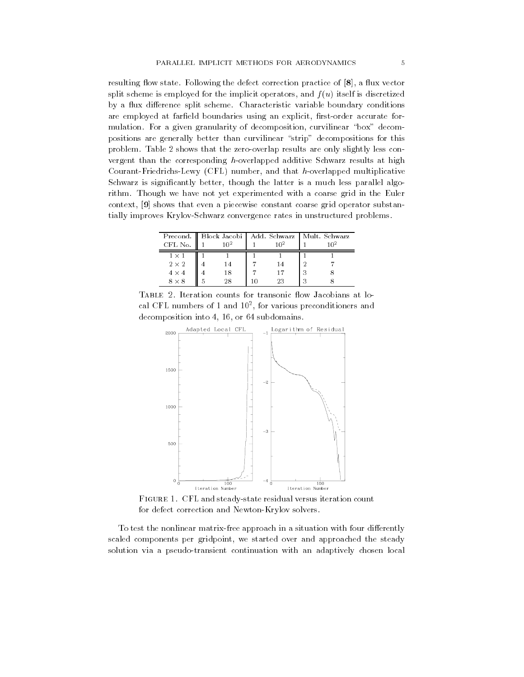resulting ow state Following the defect correction practice of - a ux vector split scheme is explicit operators-the implicit operators-discretized for the interval  $\mathcal{A}$ by a flux difference split scheme. Characteristic variable boundary conditions are employed at farming boundaries using an explicit-dimensional accurates  $\cdots$ mulation For a given granularity of decomposition- curvilinear box decom positions are generally better than curvilinear "strip" decompositions for this problem. Table 2 shows that the zero-overlap results are only slightly less convergent than the corresponding  $h$ -overlapped additive Schwarz results at high CourantFriedrichsLewy CFL number- and that hoverlapped multiplicative statter is significantly better-parallel international is an international parallel algo rithm. Though we have not yet experimented with a coarse grid in the Euler context-shows that even a piecewise constant constant constant constant constant constant constant constant co tially improves Krylov-Schwarz convergence rates in unstructured problems.

|              |  |            | Precond.    Block Jacobi   Add. Schwarz   Mult. Schwarz |  |  |  |
|--------------|--|------------|---------------------------------------------------------|--|--|--|
| CFL No.      |  | 1 $\cap$ 2 |                                                         |  |  |  |
| $1 \times 1$ |  |            |                                                         |  |  |  |
| $2 \times 2$ |  | l 4        |                                                         |  |  |  |
| $4 \times 4$ |  | 18         |                                                         |  |  |  |
|              |  |            |                                                         |  |  |  |

TABLE 2. Heration counts for transonic now Jacobians at 10cal UrL numbers of 1 and 10", for various preconditioners and  $\,$ decomposition into - - or subdomains



Figure CFL and steadystate residual versus iteration count for defect correction and Newton-Krylov solvers.

To test the nonlinear matrix-free approach in a situation with four differently started components per gridpoint- use and also dist approached the steady and approached the steady solution via a pseudo-transient continuation with an adaptively chosen local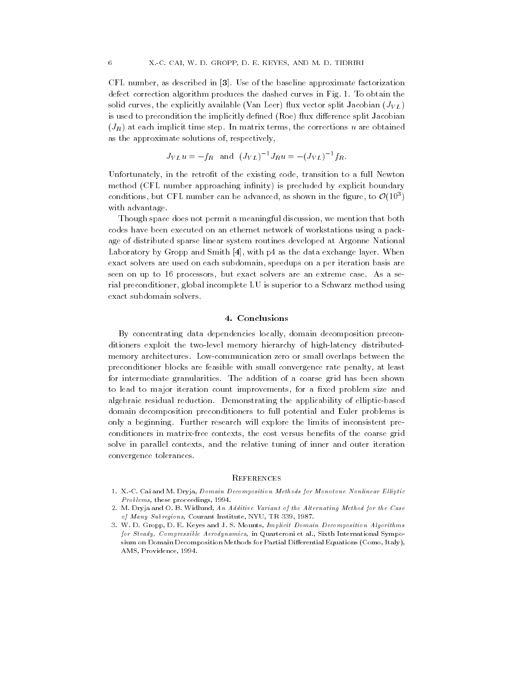commentations as described in the baseline approximate factorization and contributions of the baseline of the defect correction algorithm produces the dashed curves in Fig. 1. To obtain the solid curves-in-provided available  $\lambda$  and  $\lambda$  and  $\lambda$  and  $\lambda$  is the split  $\lambda$ is used to precondition the implicitly defined (Roe) flux difference split Jacobian  $\sqrt{2}$  to  $\sqrt{2}$  . The corrections used in matrix terms-obtained in matrix terms-obtained in terms-obtained in terms-obtained in terms-obtained in terms-obtained in terms-obtained in terms-obtained in terms-obtained in as the approximate solutions of the approximate solutions of  $\mathcal{C}$ 

$$
J_{VL}u = -f_R
$$
 and  $(J_{VL})^{-1}J_Ru = -(J_{VL})^{-1}f_R$ .

United the retrot of the existing the contribution of the retrot of the existing the full  $\alpha$ method (CFL number approaching infinity) is precluded by explicit boundary conditions, but UPL number can be advanced, as shown in the ligure, to  $U(10^{\circ})$ with advantage

Though space does not permit a meaningful discussion- we mention that both codes have been executed on an ethernet network of workstations using a pack age of distributed sparse linear system routines developed at Argonne National Laboratory by Gropp and Smith - with p as the data exchange layer When exact solvers are used on each subdomain- speedups on a per iteration basis are seen on up to processors- but exact solvers are an extreme case As a se rial preconditioners, growing method incomplete LU is supported to a Schwarz method using the superior of the exact subdomain solvers

# 4. Conclusions

By concentrating data dependencies locally- domain decomposition precon ditioners exploit the two-level memory hierarchy of high-latency distributedmemory architectures. Low-communication zero or small overlaps between the preconditioner blocks are feasible with small convergence rate penalty- at least for intermediate granularities The addition of a coarse grid has been shown to lead to major iteration count improvements- for a xed problem size and algebraic residual reduction. Demonstrating the applicability of elliptic-based domain decomposition preconditioners to full potential and Euler problems is only a beginning Further research will explore the limits of inconsistent pre conditioners in matrixed cost contexts, the cost context of the cost context. After solve in parallel contexts- and the relative tuning of inner and outer iteration convergence tolerances

## **REFERENCES**

- X-C Cai and M Dryja Domain Decomposition Methods for Monotone Nonlinear El liptic  $Problems, these proceedsings, 1994.$
- 2. M. Dryja and O. B. Widlund, An Additive Variant of the Alternating Method for the Case of Many Subregions, Courant Institute, NYU, TR 339, 1987.
- 3. W. D. Gropp, D. E. Keyes and J. S. Mounts, Implicit Domain Decomposition Algorithms for Steady, Compressible Aerodynamics, in Quarteroni et al., Sixth International Symposium on Domain Decomposition Methods for Partial Differential Equations (Como, Italy), AMS, Providence, 1994.